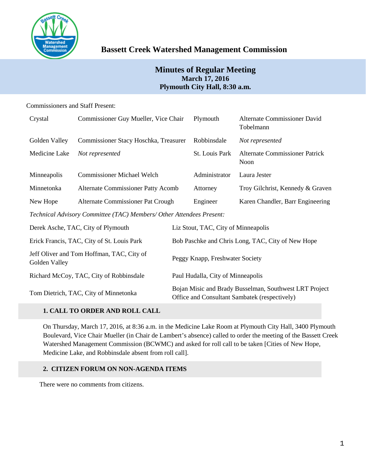

# **Bassett Creek Watershed Management Commission**

## **Minutes of Regular Meeting March 17, 2016 Plymouth City Hall, 8:30 a.m.**

## Commissioners and Staff Present:

| Crystal                                                              | Commissioner Guy Mueller, Vice Chair      |                                                   | Plymouth                                                                                                                                                                                                                                                                                                                                                                                                                                                                                   | Alternate Commissioner David<br>Tobelmann |  |
|----------------------------------------------------------------------|-------------------------------------------|---------------------------------------------------|--------------------------------------------------------------------------------------------------------------------------------------------------------------------------------------------------------------------------------------------------------------------------------------------------------------------------------------------------------------------------------------------------------------------------------------------------------------------------------------------|-------------------------------------------|--|
| Golden Valley                                                        | Commissioner Stacy Hoschka, Treasurer     |                                                   | Robbinsdale                                                                                                                                                                                                                                                                                                                                                                                                                                                                                | Not represented                           |  |
| Medicine Lake                                                        | Not represented                           |                                                   | <b>St. Louis Park</b>                                                                                                                                                                                                                                                                                                                                                                                                                                                                      | Alternate Commissioner Patrick<br>Noon    |  |
| Minneapolis                                                          | <b>Commissioner Michael Welch</b>         |                                                   | Administrator                                                                                                                                                                                                                                                                                                                                                                                                                                                                              | Laura Jester                              |  |
| Minnetonka                                                           | <b>Alternate Commissioner Patty Acomb</b> |                                                   | Attorney                                                                                                                                                                                                                                                                                                                                                                                                                                                                                   | Troy Gilchrist, Kennedy & Graven          |  |
| New Hope                                                             | Alternate Commissioner Pat Crough         |                                                   | Engineer                                                                                                                                                                                                                                                                                                                                                                                                                                                                                   | Karen Chandler, Barr Engineering          |  |
| Technical Advisory Committee (TAC) Members/ Other Attendees Present: |                                           |                                                   |                                                                                                                                                                                                                                                                                                                                                                                                                                                                                            |                                           |  |
| Derek Asche, TAC, City of Plymouth                                   |                                           | Liz Stout, TAC, City of Minneapolis               |                                                                                                                                                                                                                                                                                                                                                                                                                                                                                            |                                           |  |
| Erick Francis, TAC, City of St. Louis Park                           |                                           | Bob Paschke and Chris Long, TAC, City of New Hope |                                                                                                                                                                                                                                                                                                                                                                                                                                                                                            |                                           |  |
| Jeff Oliver and Tom Hoffman, TAC, City of                            |                                           |                                                   | $\blacksquare$ $\blacksquare$ $\blacksquare$ $\blacksquare$ $\blacksquare$ $\blacksquare$ $\blacksquare$ $\blacksquare$ $\blacksquare$ $\blacksquare$ $\blacksquare$ $\blacksquare$ $\blacksquare$ $\blacksquare$ $\blacksquare$ $\blacksquare$ $\blacksquare$ $\blacksquare$ $\blacksquare$ $\blacksquare$ $\blacksquare$ $\blacksquare$ $\blacksquare$ $\blacksquare$ $\blacksquare$ $\blacksquare$ $\blacksquare$ $\blacksquare$ $\blacksquare$ $\blacksquare$ $\blacksquare$ $\blacks$ |                                           |  |

Golden Valley Collection Comman, 17th, City of Peggy Knapp, Freshwater Society Richard McCoy, TAC, City of Robbinsdale Paul Hudalla, City of Minneapolis

Tom Dietrich, TAC, City of Minnetonka Bojan Misic and Brady Busselman, Southwest LRT Project Office and Consultant Sambatek (respectively)

## **1. CALL TO ORDER AND ROLL CALL**

On Thursday, March 17, 2016, at 8:36 a.m. in the Medicine Lake Room at Plymouth City Hall, 3400 Plymouth Boulevard, Vice Chair Mueller (in Chair de Lambert's absence) called to order the meeting of the Bassett Creek Watershed Management Commission (BCWMC) and asked for roll call to be taken [Cities of New Hope, Medicine Lake, and Robbinsdale absent from roll call].

## **2. CITIZEN FORUM ON NON-AGENDA ITEMS**

There were no comments from citizens.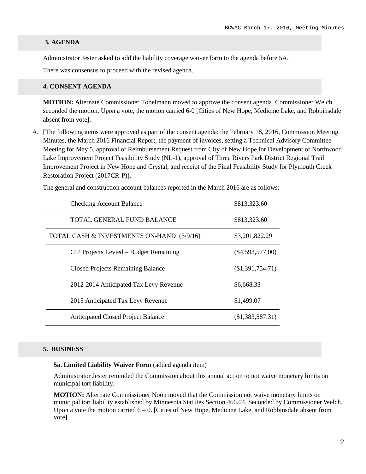#### **3. AGENDA**

Administrator Jester asked to add the liability coverage waiver form to the agenda before 5A.

There was consensus to proceed with the revised agenda.

#### **4. CONSENT AGENDA**

**MOTION:** Alternate Commissioner Tobelmann moved to approve the consent agenda. Commissioner Welch seconded the motion. Upon a vote, the motion carried 6-0 [Cities of New Hope, Medicine Lake, and Robbinsdale absent from vote].

A. [The following items were approved as part of the consent agenda: the February 18, 2016, Commission Meeting Minutes, the March 2016 Financial Report, the payment of invoices, setting a Technical Advisory Committee Meeting for May 5, approval of Reimbursement Request from City of New Hope for Development of Northwood Lake Improvement Project Feasibility Study (NL-1), approval of Three Rivers Park District Regional Trail Improvement Project in New Hope and Crystal, and receipt of the Final Feasibility Study for Plymouth Creek Restoration Project (2017CR-P)].

The general and construction account balances reported in the March 2016 are as follows:

| <b>Checking Account Balance</b>           | \$813,323.60       |
|-------------------------------------------|--------------------|
| TOTAL GENERAL FUND BALANCE                | \$813,323.60       |
| TOTAL CASH & INVESTMENTS ON-HAND (3/9/16) | \$3,201,822.29     |
| CIP Projects Levied – Budget Remaining    | $(\$4,593,577.00)$ |
| <b>Closed Projects Remaining Balance</b>  | $(\$1,391,754.71)$ |
| 2012-2014 Anticipated Tax Levy Revenue    | \$6,668.33         |
| 2015 Anticipated Tax Levy Revenue         | \$1,499.07         |
| <b>Anticipated Closed Project Balance</b> | (\$1,383,587.31)   |

#### **5. BUSINESS**

#### **5a. Limited Liability Waiver Form** (added agenda item)

Administrator Jester reminded the Commission about this annual action to not waive monetary limits on municipal tort liability.

**MOTION:** Alternate Commissioner Noon moved that the Commission not waive monetary limits on municipal tort liability established by Minnesota Statutes Section 466.04. Seconded by Commissioner Welch. Upon a vote the motion carried  $6 - 0$ . [Cities of New Hope, Medicine Lake, and Robbinsdale absent from vote].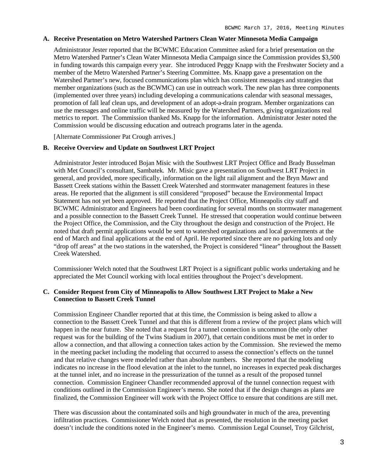#### **A. Receive Presentation on Metro Watershed Partners Clean Water Minnesota Media Campaign**

Administrator Jester reported that the BCWMC Education Committee asked for a brief presentation on the Metro Watershed Partner's Clean Water Minnesota Media Campaign since the Commission provides \$3,500 in funding towards this campaign every year. She introduced Peggy Knapp with the Freshwater Society and a member of the Metro Watershed Partner's Steering Committee. Ms. Knapp gave a presentation on the Watershed Partner's new, focused communications plan which has consistent messages and strategies that member organizations (such as the BCWMC) can use in outreach work. The new plan has three components (implemented over three years) including developing a communications calendar with seasonal messages, promotion of fall leaf clean ups, and development of an adopt-a-drain program. Member organizations can use the messages and online traffic will be measured by the Watershed Partners, giving organizations real metrics to report. The Commission thanked Ms. Knapp for the information. Administrator Jester noted the Commission would be discussing education and outreach programs later in the agenda.

[Alternate Commissioner Pat Crough arrives.]

### **B. Receive Overview and Update on Southwest LRT Project**

Administrator Jester introduced Bojan Misic with the Southwest LRT Project Office and Brady Busselman with Met Council's consultant, Sambatek. Mr. Misic gave a presentation on Southwest LRT Project in general, and provided, more specifically, information on the light rail alignment and the Bryn Mawr and Bassett Creek stations within the Bassett Creek Watershed and stormwater management features in these areas. He reported that the alignment is still considered "proposed" because the Environmental Impact Statement has not yet been approved. He reported that the Project Office, Minneapolis city staff and BCWMC Administrator and Engineers had been coordinating for several months on stormwater management and a possible connection to the Bassett Creek Tunnel. He stressed that cooperation would continue between the Project Office, the Commission, and the City throughout the design and construction of the Project. He noted that draft permit applications would be sent to watershed organizations and local governments at the end of March and final applications at the end of April. He reported since there are no parking lots and only "drop off areas" at the two stations in the watershed, the Project is considered "linear" throughout the Bassett Creek Watershed.

Commissioner Welch noted that the Southwest LRT Project is a significant public works undertaking and he appreciated the Met Council working with local entities throughout the Project's development.

#### **C. Consider Request from City of Minneapolis to Allow Southwest LRT Project to Make a New Connection to Bassett Creek Tunnel**

Commission Engineer Chandler reported that at this time, the Commission is being asked to allow a connection to the Bassett Creek Tunnel and that this is different from a review of the project plans which will happen in the near future. She noted that a request for a tunnel connection is uncommon (the only other request was for the building of the Twins Stadium in 2007), that certain conditions must be met in order to allow a connection, and that allowing a connection takes action by the Commission. She reviewed the memo in the meeting packet including the modeling that occurred to assess the connection's effects on the tunnel and that relative changes were modeled rather than absolute numbers. She reported that the modeling indicates no increase in the flood elevation at the inlet to the tunnel, no increases in expected peak discharges at the tunnel inlet, and no increase in the pressurization of the tunnel as a result of the proposed tunnel connection. Commission Engineer Chandler recommended approval of the tunnel connection request with conditions outlined in the Commission Engineer's memo. She noted that if the design changes as plans are finalized, the Commission Engineer will work with the Project Office to ensure that conditions are still met.

There was discussion about the contaminated soils and high groundwater in much of the area, preventing infiltration practices. Commissioner Welch noted that as presented, the resolution in the meeting packet doesn't include the conditions noted in the Engineer's memo. Commission Legal Counsel, Troy Gilchrist,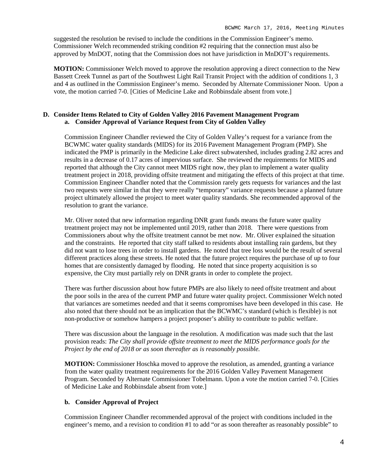suggested the resolution be revised to include the conditions in the Commission Engineer's memo. Commissioner Welch recommended striking condition #2 requiring that the connection must also be approved by MnDOT, noting that the Commission does not have jurisdiction in MnDOT's requirements.

**MOTION:** Commissioner Welch moved to approve the resolution approving a direct connection to the New Bassett Creek Tunnel as part of the Southwest Light Rail Transit Project with the addition of conditions 1, 3 and 4 as outlined in the Commission Engineer's memo. Seconded by Alternate Commissioner Noon. Upon a vote, the motion carried 7-0. [Cities of Medicine Lake and Robbinsdale absent from vote.]

## **D. Consider Items Related to City of Golden Valley 2016 Pavement Management Program a. Consider Approval of Variance Request from City of Golden Valley**

Commission Engineer Chandler reviewed the City of Golden Valley's request for a variance from the BCWMC water quality standards (MIDS) for its 2016 Pavement Management Program (PMP). She indicated the PMP is primarily in the Medicine Lake direct subwatershed, includes grading 2.82 acres and results in a decrease of 0.17 acres of impervious surface. She reviewed the requirements for MIDS and reported that although the City cannot meet MIDS right now, they plan to implement a water quality treatment project in 2018, providing offsite treatment and mitigating the effects of this project at that time. Commission Engineer Chandler noted that the Commission rarely gets requests for variances and the last two requests were similar in that they were really "temporary" variance requests because a planned future project ultimately allowed the project to meet water quality standards. She recommended approval of the resolution to grant the variance.

Mr. Oliver noted that new information regarding DNR grant funds means the future water quality treatment project may not be implemented until 2019, rather than 2018. There were questions from Commissioners about why the offsite treatment cannot be met now. Mr. Oliver explained the situation and the constraints. He reported that city staff talked to residents about installing rain gardens, but they did not want to lose trees in order to install gardens. He noted that tree loss would be the result of several different practices along these streets. He noted that the future project requires the purchase of up to four homes that are consistently damaged by flooding. He noted that since property acquisition is so expensive, the City must partially rely on DNR grants in order to complete the project.

There was further discussion about how future PMPs are also likely to need offsite treatment and about the poor soils in the area of the current PMP and future water quality project. Commissioner Welch noted that variances are sometimes needed and that it seems compromises have been developed in this case. He also noted that there should not be an implication that the BCWMC's standard (which is flexible) is not non-productive or somehow hampers a project proposer's ability to contribute to public welfare.

There was discussion about the language in the resolution. A modification was made such that the last provision reads: *The City shall provide offsite treatment to meet the MIDS performance goals for the Project by the end of 2018 or as soon thereafter as is reasonably possible.*

**MOTION:** Commissioner Hoschka moved to approve the resolution, as amended, granting a variance from the water quality treatment requirements for the 2016 Golden Valley Pavement Management Program. Seconded by Alternate Commissioner Tobelmann. Upon a vote the motion carried 7-0. [Cities of Medicine Lake and Robbinsdale absent from vote.]

## **b. Consider Approval of Project**

Commission Engineer Chandler recommended approval of the project with conditions included in the engineer's memo, and a revision to condition #1 to add "or as soon thereafter as reasonably possible" to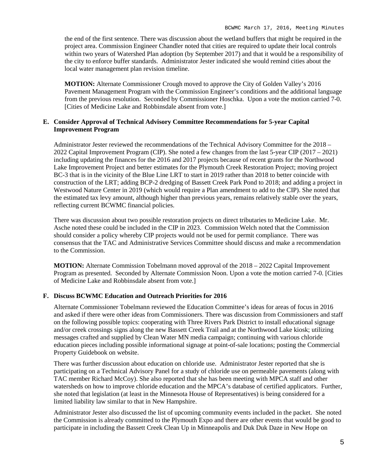the end of the first sentence. There was discussion about the wetland buffers that might be required in the project area. Commission Engineer Chandler noted that cities are required to update their local controls within two years of Watershed Plan adoption (by September 2017) and that it would be a responsibility of the city to enforce buffer standards. Administrator Jester indicated she would remind cities about the local water management plan revision timeline.

**MOTION:** Alternate Commissioner Crough moved to approve the City of Golden Valley's 2016 Pavement Management Program with the Commission Engineer's conditions and the additional language from the previous resolution. Seconded by Commissioner Hoschka. Upon a vote the motion carried 7-0. [Cities of Medicine Lake and Robbinsdale absent from vote.]

## **E. Consider Approval of Technical Advisory Committee Recommendations for 5-year Capital Improvement Program**

Administrator Jester reviewed the recommendations of the Technical Advisory Committee for the 2018 – 2022 Capital Improvement Program (CIP). She noted a few changes from the last 5-year CIP (2017 – 2021) including updating the finances for the 2016 and 2017 projects because of recent grants for the Northwood Lake Improvement Project and better estimates for the Plymouth Creek Restoration Project; moving project BC-3 that is in the vicinity of the Blue Line LRT to start in 2019 rather than 2018 to better coincide with construction of the LRT; adding BCP-2 dredging of Bassett Creek Park Pond to 2018; and adding a project in Westwood Nature Center in 2019 (which would require a Plan amendment to add to the CIP). She noted that the estimated tax levy amount, although higher than previous years, remains relatively stable over the years, reflecting current BCWMC financial policies.

There was discussion about two possible restoration projects on direct tributaries to Medicine Lake. Mr. Asche noted these could be included in the CIP in 2023. Commission Welch noted that the Commission should consider a policy whereby CIP projects would not be used for permit compliance. There was consensus that the TAC and Administrative Services Committee should discuss and make a recommendation to the Commission.

**MOTION:** Alternate Commission Tobelmann moved approval of the 2018 – 2022 Capital Improvement Program as presented. Seconded by Alternate Commission Noon. Upon a vote the motion carried 7-0. [Cities of Medicine Lake and Robbinsdale absent from vote.]

#### **F. Discuss BCWMC Education and Outreach Priorities for 2016**

Alternate Commissioner Tobelmann reviewed the Education Committee's ideas for areas of focus in 2016 and asked if there were other ideas from Commissioners. There was discussion from Commissioners and staff on the following possible topics: cooperating with Three Rivers Park District to install educational signage and/or creek crossings signs along the new Bassett Creek Trail and at the Northwood Lake kiosk; utilizing messages crafted and supplied by Clean Water MN media campaign; continuing with various chloride education pieces including possible informational signage at point-of-sale locations; posting the Commercial Property Guidebook on website.

There was further discussion about education on chloride use. Administrator Jester reported that she is participating on a Technical Advisory Panel for a study of chloride use on permeable pavements (along with TAC member Richard McCoy). She also reported that she has been meeting with MPCA staff and other watersheds on how to improve chloride education and the MPCA's database of certified applicators. Further, she noted that legislation (at least in the Minnesota House of Representatives) is being considered for a limited liability law similar to that in New Hampshire.

Administrator Jester also discussed the list of upcoming community events included in the packet. She noted the Commission is already committed to the Plymouth Expo and there are other events that would be good to participate in including the Bassett Creek Clean Up in Minneapolis and Duk Duk Daze in New Hope on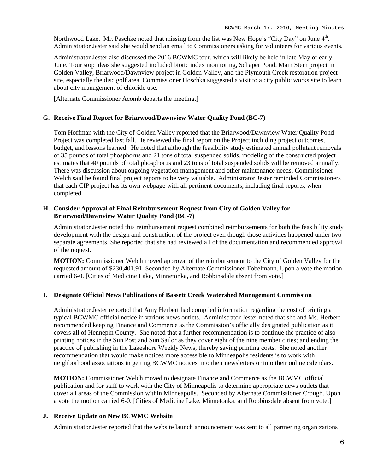Northwood Lake. Mr. Paschke noted that missing from the list was New Hope's "City Day" on June 4<sup>th</sup>. Administrator Jester said she would send an email to Commissioners asking for volunteers for various events.

Administrator Jester also discussed the 2016 BCWMC tour, which will likely be held in late May or early June. Tour stop ideas she suggested included biotic index monitoring, Schaper Pond, Main Stem project in Golden Valley, Briarwood/Dawnview project in Golden Valley, and the Plymouth Creek restoration project site, especially the disc golf area. Commissioner Hoschka suggested a visit to a city public works site to learn about city management of chloride use.

[Alternate Commissioner Acomb departs the meeting.]

#### **G. Receive Final Report for Briarwood/Dawnview Water Quality Pond (BC-7)**

Tom Hoffman with the City of Golden Valley reported that the Briarwood/Dawnview Water Quality Pond Project was completed last fall. He reviewed the final report on the Project including project outcomes, budget, and lessons learned. He noted that although the feasibility study estimated annual pollutant removals of 35 pounds of total phosphorus and 21 tons of total suspended solids, modeling of the constructed project estimates that 40 pounds of total phosphorus and 23 tons of total suspended solids will be removed annually. There was discussion about ongoing vegetation management and other maintenance needs. Commissioner Welch said he found final project reports to be very valuable. Administrator Jester reminded Commissioners that each CIP project has its own webpage with all pertinent documents, including final reports, when completed.

#### **H. Consider Approval of Final Reimbursement Request from City of Golden Valley for Briarwood/Dawnview Water Quality Pond (BC-7)**

Administrator Jester noted this reimbursement request combined reimbursements for both the feasibility study development with the design and construction of the project even though those activities happened under two separate agreements. She reported that she had reviewed all of the documentation and recommended approval of the request.

**MOTION:** Commissioner Welch moved approval of the reimbursement to the City of Golden Valley for the requested amount of \$230,401.91. Seconded by Alternate Commissioner Tobelmann. Upon a vote the motion carried 6-0. [Cities of Medicine Lake, Minnetonka, and Robbinsdale absent from vote.]

#### **I. Designate Official News Publications of Bassett Creek Watershed Management Commission**

Administrator Jester reported that Amy Herbert had compiled information regarding the cost of printing a typical BCWMC official notice in various news outlets. Administrator Jester noted that she and Ms. Herbert recommended keeping Finance and Commerce as the Commission's officially designated publication as it covers all of Hennepin County. She noted that a further recommendation is to continue the practice of also printing notices in the Sun Post and Sun Sailor as they cover eight of the nine member cities; and ending the practice of publishing in the Lakeshore Weekly News, thereby saving printing costs. She noted another recommendation that would make notices more accessible to Minneapolis residents is to work with neighborhood associations in getting BCWMC notices into their newsletters or into their online calendars.

**MOTION:** Commissioner Welch moved to designate Finance and Commerce as the BCWMC official publication and for staff to work with the City of Minneapolis to determine appropriate news outlets that cover all areas of the Commission within Minneapolis. Seconded by Alternate Commissioner Crough. Upon a vote the motion carried 6-0. [Cities of Medicine Lake, Minnetonka, and Robbinsdale absent from vote.]

#### **J. Receive Update on New BCWMC Website**

Administrator Jester reported that the website launch announcement was sent to all partnering organizations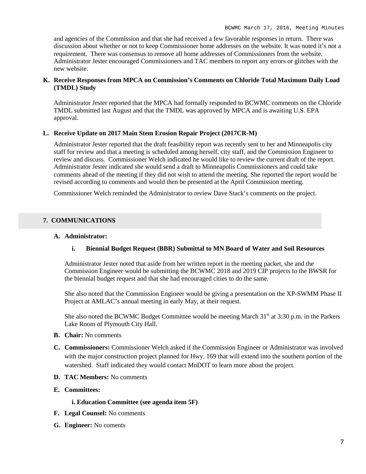and agencies of the Commission and that she had received a few favorable responses in return. There was discussion about whether or not to keep Commissioner home addresses on the website. It was noted it's not a requirement. There was consensus to remove all home addresses of Commissioners from the website. Administrator Jester encouraged Commissioners and TAC members to report any errors or glitches with the new website.

### **K. Receive Responses from MPCA on Commission's Comments on Chloride Total Maximum Daily Load (TMDL) Study**

Administrator Jester reported that the MPCA had formally responded to BCWMC comments on the Chloride TMDL submitted last August and that the TMDL was approved by MPCA and is awaiting U.S. EPA approval.

## **L. Receive Update on 2017 Main Stem Erosion Repair Project (2017CR-M)**

Administrator Jester reported that the draft feasibility report was recently sent to her and Minneapolis city staff for review and that a meeting is scheduled among herself, city staff, and the Commission Engineer to review and discuss. Commissioner Welch indicated he would like to review the current draft of the report. Administrator Jester indicated she would send a draft to Minneapolis Commissioners and could take comments ahead of the meeting if they did not wish to attend the meeting. She reported the report would be revised according to comments and would then be presented at the April Commission meeting.

Commissioner Welch reminded the Administrator to review Dave Stack's comments on the project.

## **7. COMMUNICATIONS**

### **A. Administrator:**

## **i. Biennial Budget Request (BBR) Submittal to MN Board of Water and Soil Resources**

Administrator Jester noted that aside from her written report in the meeting packet, she and the Commission Engineer would be submitting the BCWMC 2018 and 2019 CIP projects to the BWSR for the biennial budget request and that she had encouraged cities to do the same.

She also noted that the Commission Engineer would be giving a presentation on the XP-SWMM Phase II Project at AMLAC's annual meeting in early May, at their request.

She also noted the BCWMC Budget Committee would be meeting March  $31<sup>st</sup>$  at  $3:30$  p.m. in the Parkers Lake Room of Plymouth City Hall.

- **B. Chair:** No comments
- **C. Commissioners:** Commissioner Welch asked if the Commission Engineer or Administrator was involved with the major construction project planned for Hwy. 169 that will extend into the southern portion of the watershed. Staff indicated they would contact MnDOT to learn more about the project.
- **D. TAC Members:** No comments
- **E. Committees:**

#### **i. Education Committee (see agenda item 5F)**

- **F. Legal Counsel:** No comments
- **G. Engineer:** No coments